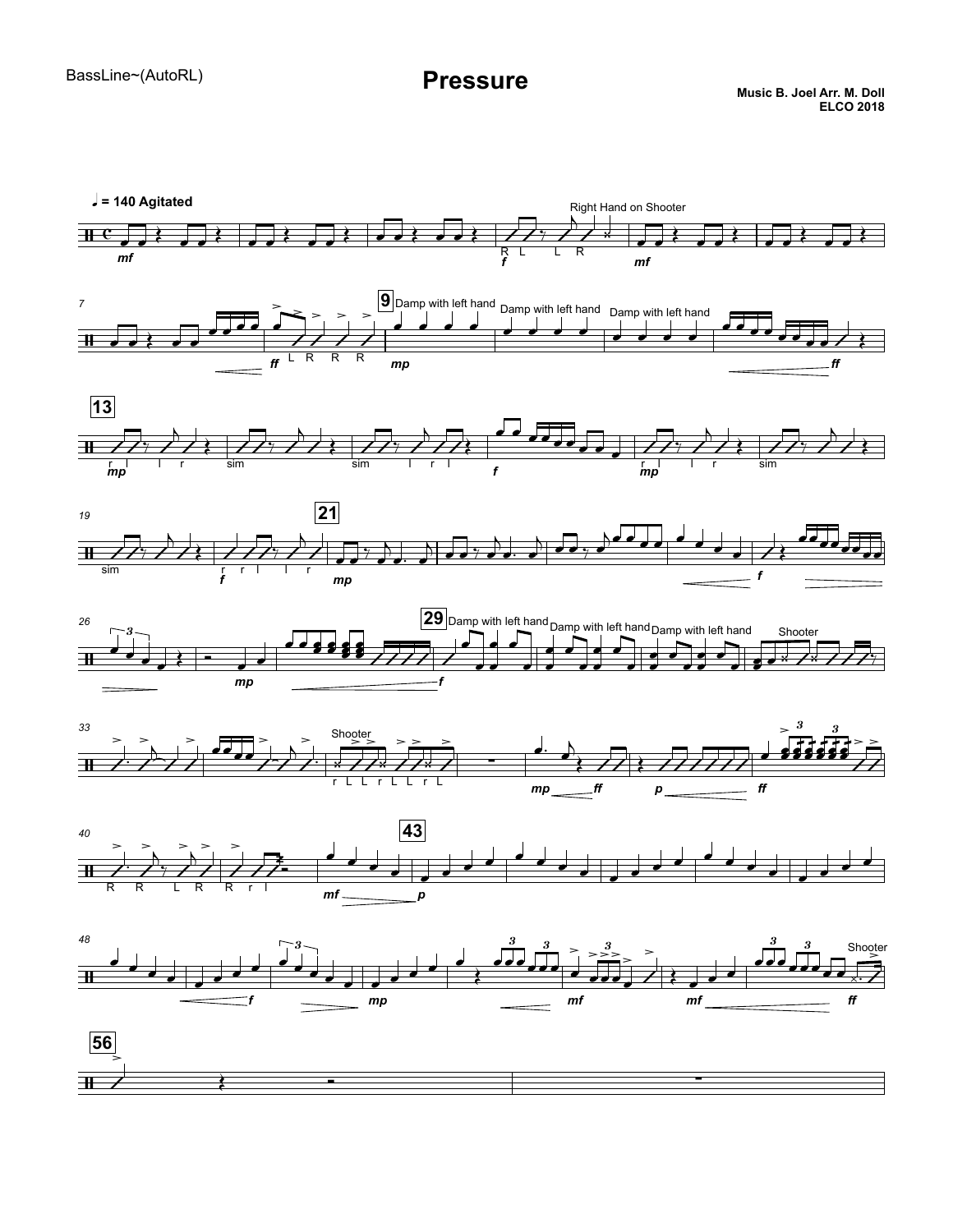